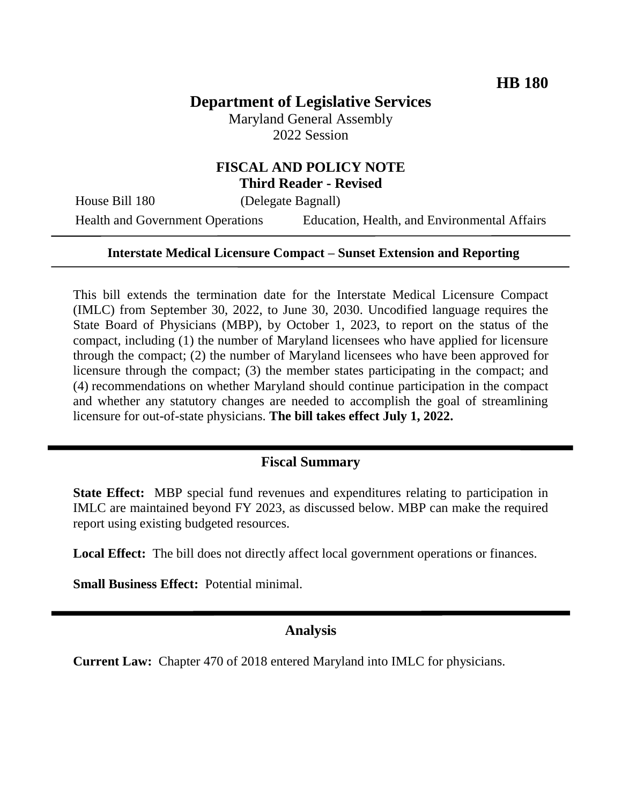# **Department of Legislative Services**

Maryland General Assembly 2022 Session

# **FISCAL AND POLICY NOTE Third Reader - Revised**

House Bill 180 (Delegate Bagnall)

Health and Government Operations Education, Health, and Environmental Affairs

#### **Interstate Medical Licensure Compact – Sunset Extension and Reporting**

This bill extends the termination date for the Interstate Medical Licensure Compact (IMLC) from September 30, 2022, to June 30, 2030. Uncodified language requires the State Board of Physicians (MBP), by October 1, 2023, to report on the status of the compact, including (1) the number of Maryland licensees who have applied for licensure through the compact; (2) the number of Maryland licensees who have been approved for licensure through the compact; (3) the member states participating in the compact; and (4) recommendations on whether Maryland should continue participation in the compact and whether any statutory changes are needed to accomplish the goal of streamlining licensure for out-of-state physicians. **The bill takes effect July 1, 2022.**

# **Fiscal Summary**

**State Effect:** MBP special fund revenues and expenditures relating to participation in IMLC are maintained beyond FY 2023, as discussed below. MBP can make the required report using existing budgeted resources.

Local Effect: The bill does not directly affect local government operations or finances.

**Small Business Effect:** Potential minimal.

# **Analysis**

**Current Law:** Chapter 470 of 2018 entered Maryland into IMLC for physicians.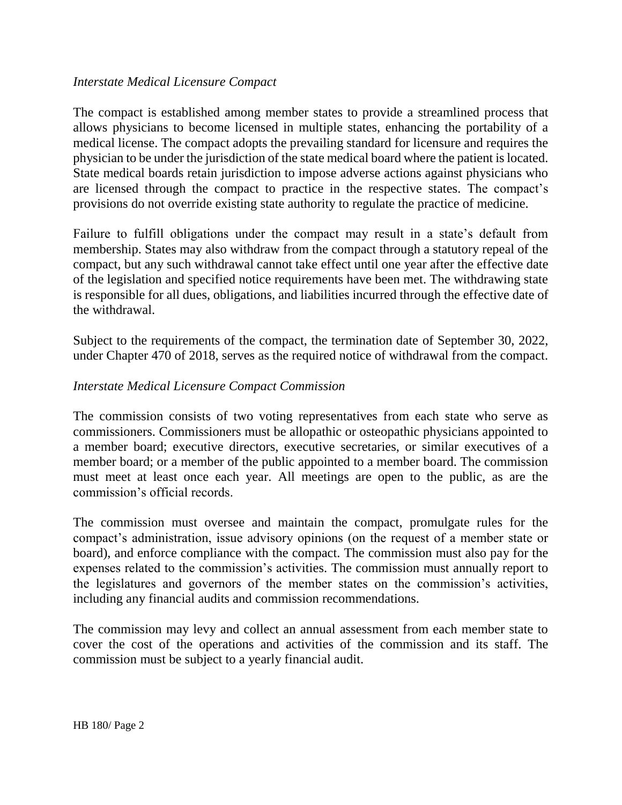#### *Interstate Medical Licensure Compact*

The compact is established among member states to provide a streamlined process that allows physicians to become licensed in multiple states, enhancing the portability of a medical license. The compact adopts the prevailing standard for licensure and requires the physician to be under the jurisdiction of the state medical board where the patient is located. State medical boards retain jurisdiction to impose adverse actions against physicians who are licensed through the compact to practice in the respective states. The compact's provisions do not override existing state authority to regulate the practice of medicine.

Failure to fulfill obligations under the compact may result in a state's default from membership. States may also withdraw from the compact through a statutory repeal of the compact, but any such withdrawal cannot take effect until one year after the effective date of the legislation and specified notice requirements have been met. The withdrawing state is responsible for all dues, obligations, and liabilities incurred through the effective date of the withdrawal.

Subject to the requirements of the compact, the termination date of September 30, 2022, under Chapter 470 of 2018, serves as the required notice of withdrawal from the compact.

#### *Interstate Medical Licensure Compact Commission*

The commission consists of two voting representatives from each state who serve as commissioners. Commissioners must be allopathic or osteopathic physicians appointed to a member board; executive directors, executive secretaries, or similar executives of a member board; or a member of the public appointed to a member board. The commission must meet at least once each year. All meetings are open to the public, as are the commission's official records.

The commission must oversee and maintain the compact, promulgate rules for the compact's administration, issue advisory opinions (on the request of a member state or board), and enforce compliance with the compact. The commission must also pay for the expenses related to the commission's activities. The commission must annually report to the legislatures and governors of the member states on the commission's activities, including any financial audits and commission recommendations.

The commission may levy and collect an annual assessment from each member state to cover the cost of the operations and activities of the commission and its staff. The commission must be subject to a yearly financial audit.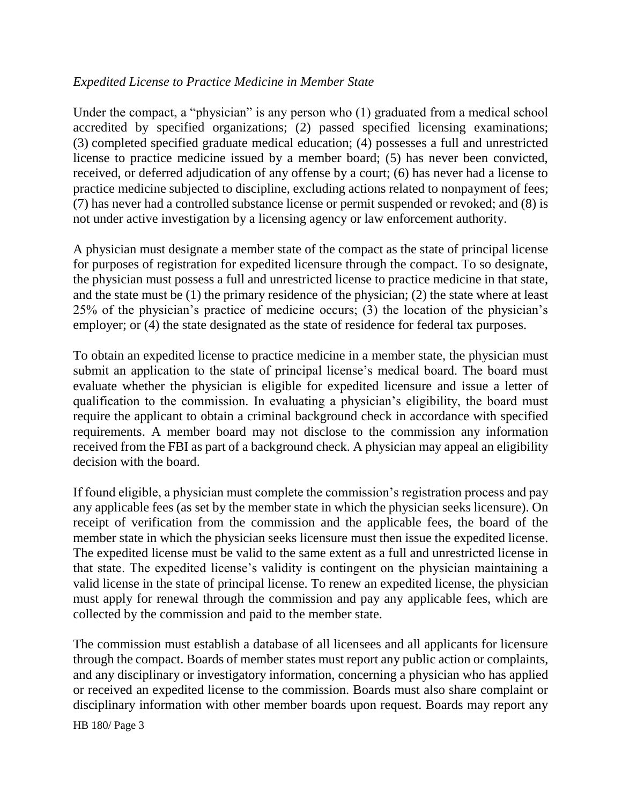# *Expedited License to Practice Medicine in Member State*

Under the compact, a "physician" is any person who (1) graduated from a medical school accredited by specified organizations; (2) passed specified licensing examinations; (3) completed specified graduate medical education; (4) possesses a full and unrestricted license to practice medicine issued by a member board; (5) has never been convicted, received, or deferred adjudication of any offense by a court; (6) has never had a license to practice medicine subjected to discipline, excluding actions related to nonpayment of fees; (7) has never had a controlled substance license or permit suspended or revoked; and (8) is not under active investigation by a licensing agency or law enforcement authority.

A physician must designate a member state of the compact as the state of principal license for purposes of registration for expedited licensure through the compact. To so designate, the physician must possess a full and unrestricted license to practice medicine in that state, and the state must be (1) the primary residence of the physician; (2) the state where at least 25% of the physician's practice of medicine occurs; (3) the location of the physician's employer; or (4) the state designated as the state of residence for federal tax purposes.

To obtain an expedited license to practice medicine in a member state, the physician must submit an application to the state of principal license's medical board. The board must evaluate whether the physician is eligible for expedited licensure and issue a letter of qualification to the commission. In evaluating a physician's eligibility, the board must require the applicant to obtain a criminal background check in accordance with specified requirements. A member board may not disclose to the commission any information received from the FBI as part of a background check. A physician may appeal an eligibility decision with the board.

If found eligible, a physician must complete the commission's registration process and pay any applicable fees (as set by the member state in which the physician seeks licensure). On receipt of verification from the commission and the applicable fees, the board of the member state in which the physician seeks licensure must then issue the expedited license. The expedited license must be valid to the same extent as a full and unrestricted license in that state. The expedited license's validity is contingent on the physician maintaining a valid license in the state of principal license. To renew an expedited license, the physician must apply for renewal through the commission and pay any applicable fees, which are collected by the commission and paid to the member state.

The commission must establish a database of all licensees and all applicants for licensure through the compact. Boards of member states must report any public action or complaints, and any disciplinary or investigatory information, concerning a physician who has applied or received an expedited license to the commission. Boards must also share complaint or disciplinary information with other member boards upon request. Boards may report any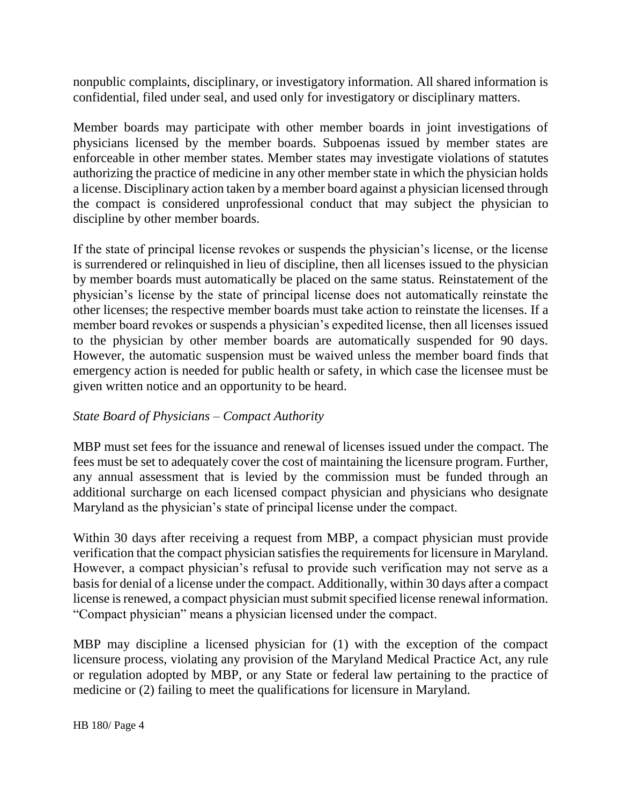nonpublic complaints, disciplinary, or investigatory information. All shared information is confidential, filed under seal, and used only for investigatory or disciplinary matters.

Member boards may participate with other member boards in joint investigations of physicians licensed by the member boards. Subpoenas issued by member states are enforceable in other member states. Member states may investigate violations of statutes authorizing the practice of medicine in any other member state in which the physician holds a license. Disciplinary action taken by a member board against a physician licensed through the compact is considered unprofessional conduct that may subject the physician to discipline by other member boards.

If the state of principal license revokes or suspends the physician's license, or the license is surrendered or relinquished in lieu of discipline, then all licenses issued to the physician by member boards must automatically be placed on the same status. Reinstatement of the physician's license by the state of principal license does not automatically reinstate the other licenses; the respective member boards must take action to reinstate the licenses. If a member board revokes or suspends a physician's expedited license, then all licenses issued to the physician by other member boards are automatically suspended for 90 days. However, the automatic suspension must be waived unless the member board finds that emergency action is needed for public health or safety, in which case the licensee must be given written notice and an opportunity to be heard.

# *State Board of Physicians – Compact Authority*

MBP must set fees for the issuance and renewal of licenses issued under the compact. The fees must be set to adequately cover the cost of maintaining the licensure program. Further, any annual assessment that is levied by the commission must be funded through an additional surcharge on each licensed compact physician and physicians who designate Maryland as the physician's state of principal license under the compact.

Within 30 days after receiving a request from MBP, a compact physician must provide verification that the compact physician satisfies the requirements for licensure in Maryland. However, a compact physician's refusal to provide such verification may not serve as a basis for denial of a license under the compact. Additionally, within 30 days after a compact license is renewed, a compact physician must submit specified license renewal information. "Compact physician" means a physician licensed under the compact.

MBP may discipline a licensed physician for (1) with the exception of the compact licensure process, violating any provision of the Maryland Medical Practice Act, any rule or regulation adopted by MBP, or any State or federal law pertaining to the practice of medicine or (2) failing to meet the qualifications for licensure in Maryland.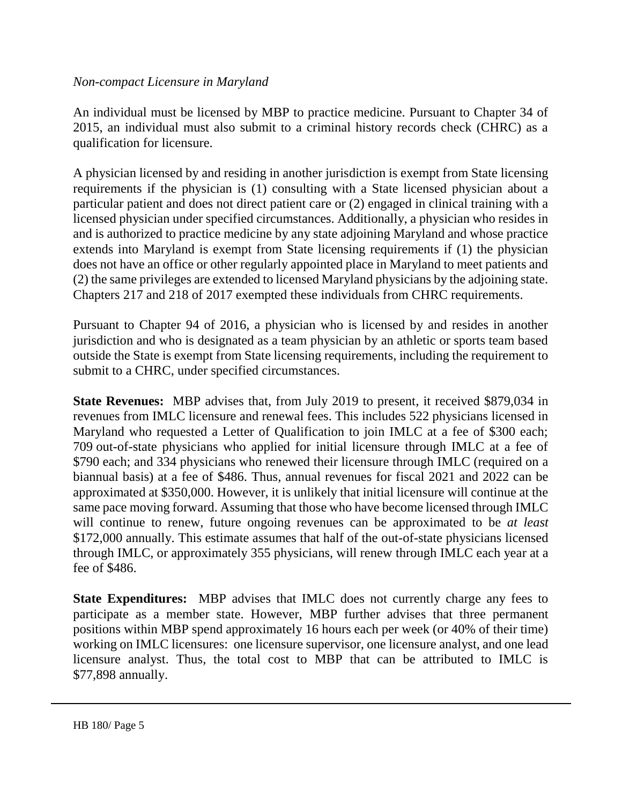# *Non-compact Licensure in Maryland*

An individual must be licensed by MBP to practice medicine. Pursuant to Chapter 34 of 2015, an individual must also submit to a criminal history records check (CHRC) as a qualification for licensure.

A physician licensed by and residing in another jurisdiction is exempt from State licensing requirements if the physician is (1) consulting with a State licensed physician about a particular patient and does not direct patient care or (2) engaged in clinical training with a licensed physician under specified circumstances. Additionally, a physician who resides in and is authorized to practice medicine by any state adjoining Maryland and whose practice extends into Maryland is exempt from State licensing requirements if (1) the physician does not have an office or other regularly appointed place in Maryland to meet patients and (2) the same privileges are extended to licensed Maryland physicians by the adjoining state. Chapters 217 and 218 of 2017 exempted these individuals from CHRC requirements.

Pursuant to Chapter 94 of 2016, a physician who is licensed by and resides in another jurisdiction and who is designated as a team physician by an athletic or sports team based outside the State is exempt from State licensing requirements, including the requirement to submit to a CHRC, under specified circumstances.

**State Revenues:** MBP advises that, from July 2019 to present, it received \$879,034 in revenues from IMLC licensure and renewal fees. This includes 522 physicians licensed in Maryland who requested a Letter of Qualification to join IMLC at a fee of \$300 each; 709 out-of-state physicians who applied for initial licensure through IMLC at a fee of \$790 each; and 334 physicians who renewed their licensure through IMLC (required on a biannual basis) at a fee of \$486. Thus, annual revenues for fiscal 2021 and 2022 can be approximated at \$350,000. However, it is unlikely that initial licensure will continue at the same pace moving forward. Assuming that those who have become licensed through IMLC will continue to renew, future ongoing revenues can be approximated to be *at least*  \$172,000 annually. This estimate assumes that half of the out-of-state physicians licensed through IMLC, or approximately 355 physicians, will renew through IMLC each year at a fee of \$486.

**State Expenditures:** MBP advises that IMLC does not currently charge any fees to participate as a member state. However, MBP further advises that three permanent positions within MBP spend approximately 16 hours each per week (or 40% of their time) working on IMLC licensures: one licensure supervisor, one licensure analyst, and one lead licensure analyst. Thus, the total cost to MBP that can be attributed to IMLC is \$77,898 annually.